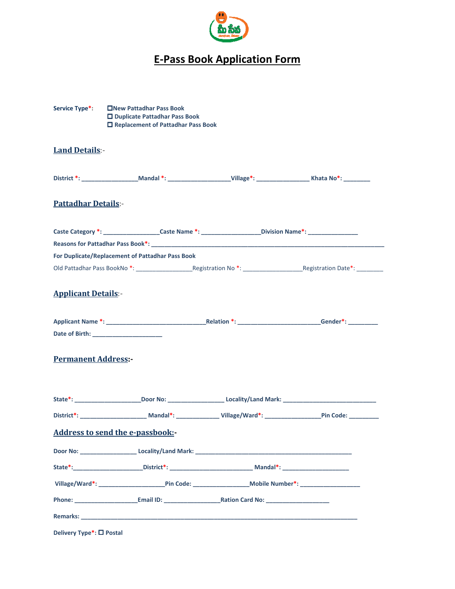

## E-Pass Book Application Form

| Service Type <sup>*</sup> : | <b>ENew Pattadhar Pass Book</b><br>□ Duplicate Pattadhar Pass Book<br>□ Replacement of Pattadhar Pass Book |  |                                                                                                                         |
|-----------------------------|------------------------------------------------------------------------------------------------------------|--|-------------------------------------------------------------------------------------------------------------------------|
| <b>Land Details:-</b>       |                                                                                                            |  |                                                                                                                         |
|                             |                                                                                                            |  | District *: _____________________Mandal *: _______________________Village*: _______________________Khata No*: _________ |
| <b>Pattadhar Details:-</b>  |                                                                                                            |  |                                                                                                                         |
|                             | Caste Category *: _____________________Caste Name *: ____________________Division Name*: _________________ |  |                                                                                                                         |
|                             |                                                                                                            |  |                                                                                                                         |
|                             | For Duplicate/Replacement of Pattadhar Pass Book                                                           |  |                                                                                                                         |
|                             |                                                                                                            |  |                                                                                                                         |
| <b>Applicant Details:-</b>  |                                                                                                            |  |                                                                                                                         |
| <b>Permanent Address:-</b>  |                                                                                                            |  |                                                                                                                         |
|                             |                                                                                                            |  | State*: ___________________________Door No: _________________________Locality/Land Mark: ___________________________    |
|                             |                                                                                                            |  |                                                                                                                         |
|                             | Address to send the e-passbook:-                                                                           |  |                                                                                                                         |
|                             |                                                                                                            |  |                                                                                                                         |
|                             |                                                                                                            |  |                                                                                                                         |
|                             |                                                                                                            |  |                                                                                                                         |
|                             |                                                                                                            |  |                                                                                                                         |
| <b>Remarks:</b>             |                                                                                                            |  |                                                                                                                         |

Delivery Type<sup>\*</sup>: □ Postal